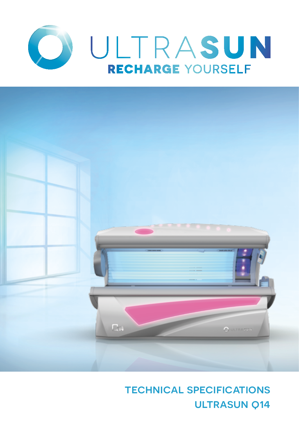



# technical specifications **ULTRASUN Q14**